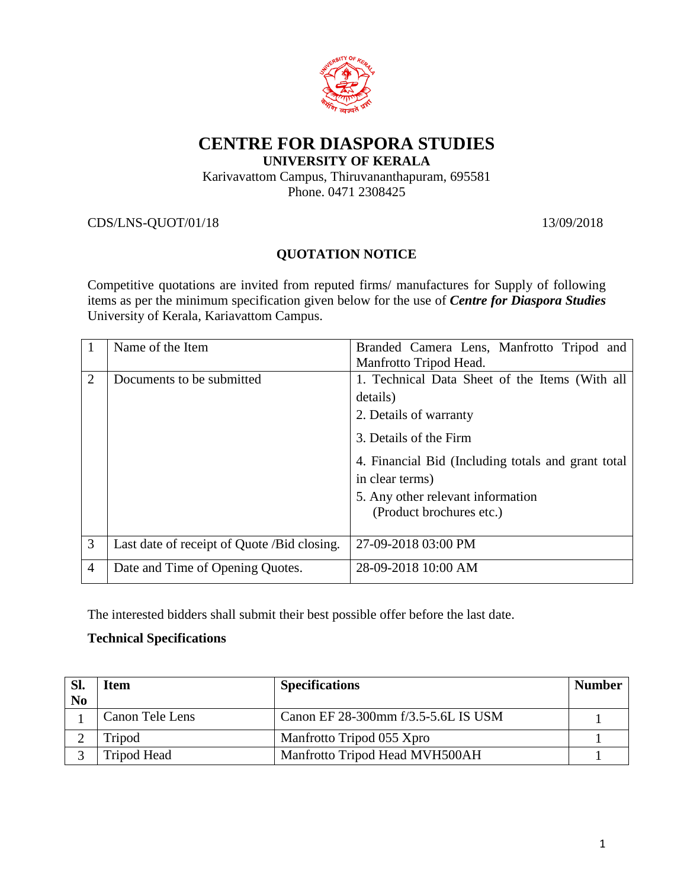

# **CENTRE FOR DIASPORA STUDIES**

**UNIVERSITY OF KERALA**

Karivavattom Campus, Thiruvananthapuram, 695581 Phone. 0471 2308425

#### CDS/LNS-QUOT/01/18 13/09/2018

### **QUOTATION NOTICE**

Competitive quotations are invited from reputed firms/ manufactures for Supply of following items as per the minimum specification given below for the use of *Centre for Diaspora Studies* University of Kerala, Kariavattom Campus.

|                | Name of the Item                            | Branded Camera Lens, Manfrotto Tripod and          |
|----------------|---------------------------------------------|----------------------------------------------------|
|                |                                             | Manfrotto Tripod Head.                             |
| 2              | Documents to be submitted                   | 1. Technical Data Sheet of the Items (With all     |
|                |                                             | details)                                           |
|                |                                             | 2. Details of warranty                             |
|                |                                             | 3. Details of the Firm                             |
|                |                                             | 4. Financial Bid (Including totals and grant total |
|                |                                             | in clear terms)                                    |
|                |                                             | 5. Any other relevant information                  |
|                |                                             | (Product brochures etc.)                           |
|                |                                             |                                                    |
| 3              | Last date of receipt of Quote /Bid closing. | 27-09-2018 03:00 PM                                |
| $\overline{4}$ | Date and Time of Opening Quotes.            | 28-09-2018 10:00 AM                                |

The interested bidders shall submit their best possible offer before the last date.

#### **Technical Specifications**

| N <sub>0</sub> | Item            | <b>Specifications</b>               | <b>Number</b> |
|----------------|-----------------|-------------------------------------|---------------|
|                | Canon Tele Lens | Canon EF 28-300mm f/3.5-5.6L IS USM |               |
|                | Tripod          | Manfrotto Tripod 055 Xpro           |               |
|                | Tripod Head     | Manfrotto Tripod Head MVH500AH      |               |